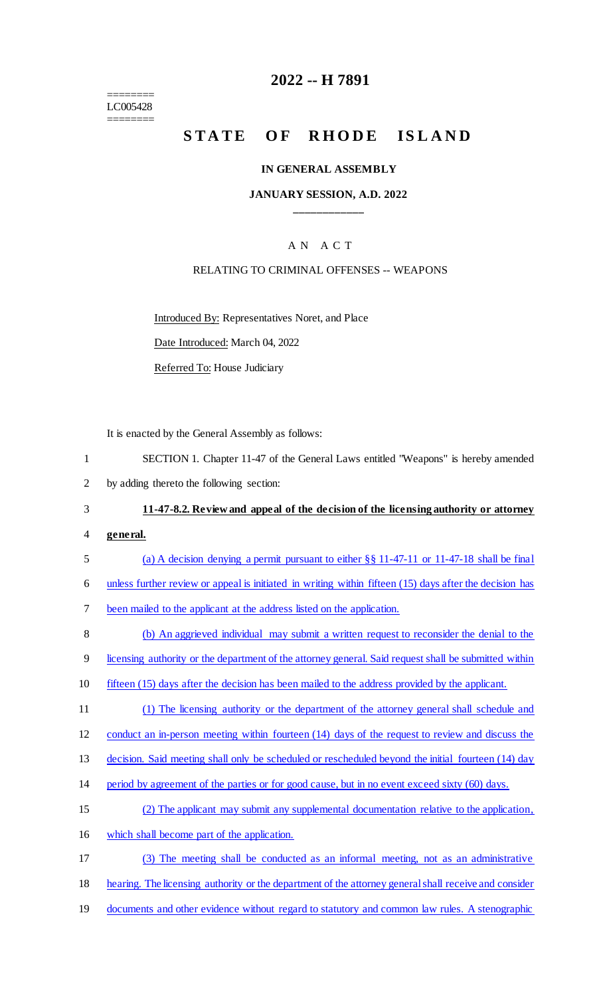======== LC005428 ========

## **2022 -- H 7891**

# STATE OF RHODE ISLAND

#### **IN GENERAL ASSEMBLY**

#### **JANUARY SESSION, A.D. 2022 \_\_\_\_\_\_\_\_\_\_\_\_**

### A N A C T

#### RELATING TO CRIMINAL OFFENSES -- WEAPONS

Introduced By: Representatives Noret, and Place

Date Introduced: March 04, 2022

Referred To: House Judiciary

It is enacted by the General Assembly as follows:

| SECTION 1. Chapter 11-47 of the General Laws entitled "Weapons" is hereby amended |
|-----------------------------------------------------------------------------------|
| by adding thereto the following section:                                          |

# 3 **11-47-8.2. Review and appeal of the decision of the licensing authority or attorney**

- 4 **general.**
- 5 (a) A decision denying a permit pursuant to either §§ 11-47-11 or 11-47-18 shall be final
- 6 unless further review or appeal is initiated in writing within fifteen (15) days after the decision has

7 been mailed to the applicant at the address listed on the application.

8 (b) An aggrieved individual may submit a written request to reconsider the denial to the

9 licensing authority or the department of the attorney general. Said request shall be submitted within

- 10 fifteen (15) days after the decision has been mailed to the address provided by the applicant.
- 11 (1) The licensing authority or the department of the attorney general shall schedule and

12 conduct an in-person meeting within fourteen (14) days of the request to review and discuss the

13 decision. Said meeting shall only be scheduled or rescheduled beyond the initial fourteen (14) day

- 14 period by agreement of the parties or for good cause, but in no event exceed sixty (60) days.
- 15 (2) The applicant may submit any supplemental documentation relative to the application,
- 16 which shall become part of the application.

17 (3) The meeting shall be conducted as an informal meeting, not as an administrative

18 hearing. The licensing authority or the department of the attorney general shall receive and consider

19 documents and other evidence without regard to statutory and common law rules. A stenographic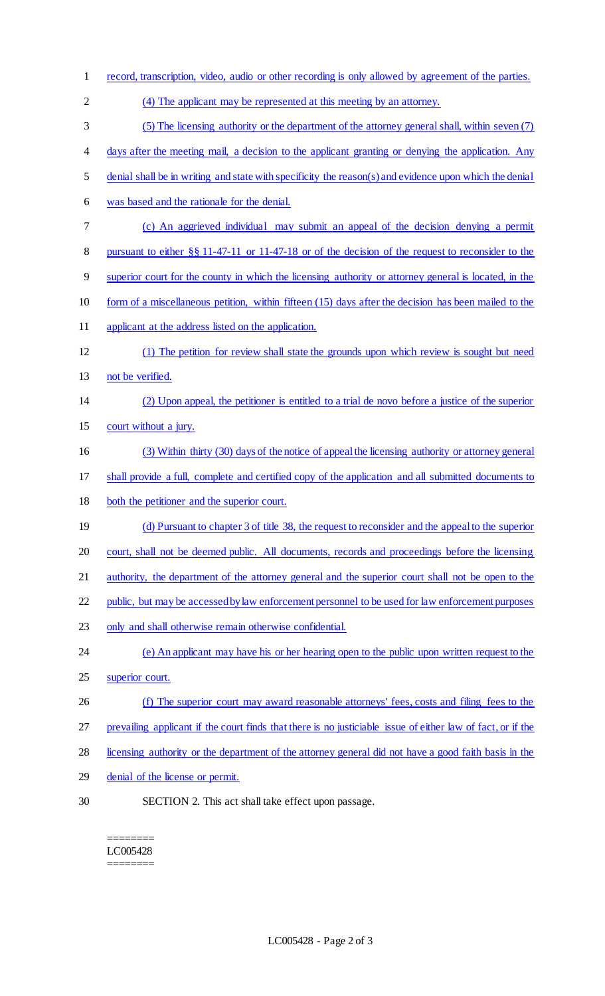- record, transcription, video, audio or other recording is only allowed by agreement of the parties. (4) The applicant may be represented at this meeting by an attorney. (5) The licensing authority or the department of the attorney general shall, within seven (7) 4 days after the meeting mail, a decision to the applicant granting or denying the application. Any denial shall be in writing and state with specificity the reason(s) and evidence upon which the denial was based and the rationale for the denial. (c) An aggrieved individual may submit an appeal of the decision denying a permit pursuant to either §§ 11-47-11 or 11-47-18 or of the decision of the request to reconsider to the superior court for the county in which the licensing authority or attorney general is located, in the form of a miscellaneous petition, within fifteen (15) days after the decision has been mailed to the 11 applicant at the address listed on the application. (1) The petition for review shall state the grounds upon which review is sought but need 13 not be verified. (2) Upon appeal, the petitioner is entitled to a trial de novo before a justice of the superior court without a jury. (3) Within thirty (30) days of the notice of appeal the licensing authority or attorney general shall provide a full, complete and certified copy of the application and all submitted documents to both the petitioner and the superior court. (d) Pursuant to chapter 3 of title 38, the request to reconsider and the appeal to the superior court, shall not be deemed public. All documents, records and proceedings before the licensing authority, the department of the attorney general and the superior court shall not be open to the public, but may be accessed by law enforcement personnel to be used for law enforcement purposes only and shall otherwise remain otherwise confidential. (e) An applicant may have his or her hearing open to the public upon written request to the superior court. 26 (f) The superior court may award reasonable attorneys' fees, costs and filing fees to the prevailing applicant if the court finds that there is no justiciable issue of either law of fact, or if the licensing authority or the department of the attorney general did not have a good faith basis in the denial of the license or permit. SECTION 2. This act shall take effect upon passage.
	- ======== LC005428 ========